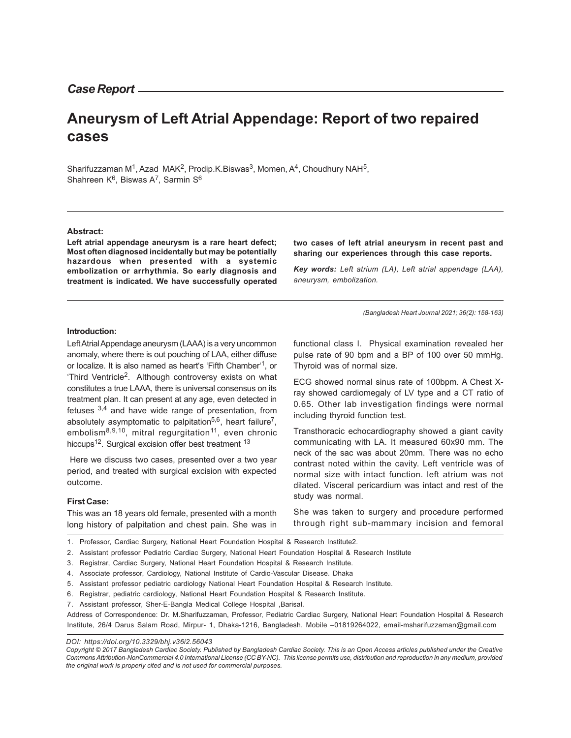# *Case Report*

# **Aneurysm of Left Atrial Appendage: Report of two repaired cases**

Sharifuzzaman M<sup>1</sup>, Azad MAK<sup>2</sup>, Prodip.K.Biswas<sup>3</sup>, Momen, A<sup>4</sup>, Choudhury NAH<sup>5</sup>, Shahreen K $^6$ , Biswas A<sup>7</sup>, Sarmin S $^6$ 

#### **Abstract:**

**Left atrial appendage aneurysm is a rare heart defect; Most often diagnosed incidentally but may be potentially hazardous when presented with a systemic embolization or arrhythmia. So early diagnosis and treatment is indicated. We have successfully operated** **two cases of left atrial aneurysm in recent past and sharing our experiences through this case reports.**

*Key words: Left atrium (LA), Left atrial appendage (LAA), aneurysm, embolization.*

*(Bangladesh Heart Journal 2021; 36(2): 158-163)*

#### **Introduction:**

Left Atrial Appendage aneurysm (LAAA) is a very uncommon anomaly, where there is out pouching of LAA, either diffuse or localize. It is also named as heart's 'Fifth Chamber'<sup>1</sup>, or 'Third Ventricle<sup>2</sup>. Although controversy exists on what constitutes a true LAAA, there is universal consensus on its treatment plan. It can present at any age, even detected in fetuses  $3,4$  and have wide range of presentation, from absolutely asymptomatic to palpitation<sup>5,6</sup>, heart failure<sup>7</sup>, embolism<sup>8,9,10</sup>, mitral regurgitation<sup>11</sup>, even chronic hiccups<sup>12</sup>. Surgical excision offer best treatment <sup>13</sup>

 Here we discuss two cases, presented over a two year period, and treated with surgical excision with expected outcome.

#### **First Case:**

This was an 18 years old female, presented with a month long history of palpitation and chest pain. She was in

functional class I. Physical examination revealed her pulse rate of 90 bpm and a BP of 100 over 50 mmHg. Thyroid was of normal size.

ECG showed normal sinus rate of 100bpm. A Chest Xray showed cardiomegaly of LV type and a CT ratio of 0.65. Other lab investigation findings were normal including thyroid function test.

Transthoracic echocardiography showed a giant cavity communicating with LA. It measured 60x90 mm. The neck of the sac was about 20mm. There was no echo contrast noted within the cavity. Left ventricle was of normal size with intact function. left atrium was not dilated. Visceral pericardium was intact and rest of the study was normal.

She was taken to surgery and procedure performed through right sub-mammary incision and femoral

- 1. Professor, Cardiac Surgery, National Heart Foundation Hospital & Research Institute2.
- 2. Assistant professor Pediatric Cardiac Surgery, National Heart Foundation Hospital & Research Institute
- 3. Registrar, Cardiac Surgery, National Heart Foundation Hospital & Research Institute.
- 4. Associate professor, Cardiology, National Institute of Cardio-Vascular Disease. Dhaka
- 5. Assistant professor pediatric cardiology National Heart Foundation Hospital & Research Institute.
- 6. Registrar, pediatric cardiology, National Heart Foundation Hospital & Research Institute.
- 7. Assistant professor, Sher-E-Bangla Medical College Hospital ,Barisal.

Address of Correspondence: Dr. M.Sharifuzzaman, Professor, Pediatric Cardiac Surgery, National Heart Foundation Hospital & Research Institute, 26/4 Darus Salam Road, Mirpur- 1, Dhaka-1216, Bangladesh. Mobile –01819264022, email-msharifuzzaman@gmail.com

*DOI: https://doi.org/10.3329/bhj.v36i2.56043*

*Copyright © 2017 Bangladesh Cardiac Society. Published by Bangladesh Cardiac Society. This is an Open Access articles published under the Creative Commons Attribution-NonCommercial 4.0 International License (CC BY-NC). This license permits use, distribution and reproduction in any medium, provided the original work is properly cited and is not used for commercial purposes.*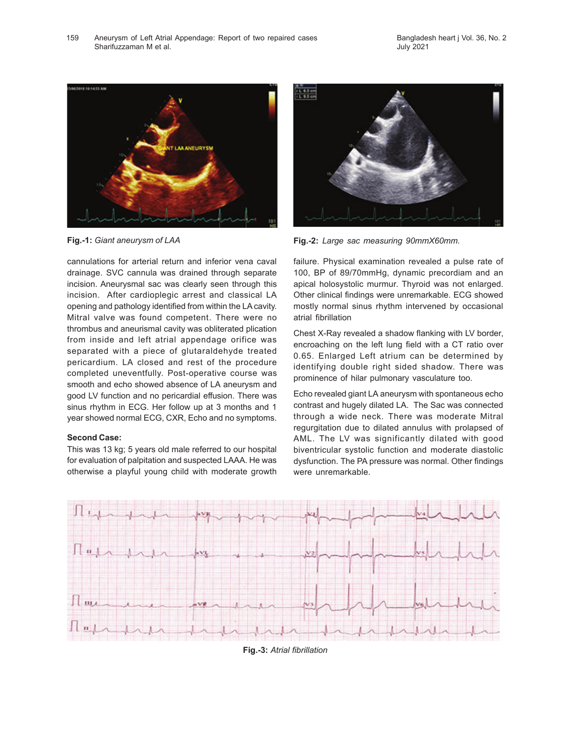Aneurysm of Left Atrial Appendage: Report of two repaired cases 159 Bangladesh heart j Vol. 36, No. 2 Sharifuzzaman M et al.



cannulations for arterial return and inferior vena caval drainage. SVC cannula was drained through separate incision. Aneurysmal sac was clearly seen through this incision. After cardioplegic arrest and classical LA opening and pathology identified from within the LA cavity. Mitral valve was found competent. There were no thrombus and aneurismal cavity was obliterated plication from inside and left atrial appendage orifice was separated with a piece of glutaraldehyde treated pericardium. LA closed and rest of the procedure completed uneventfully. Post-operative course was smooth and echo showed absence of LA aneurysm and good LV function and no pericardial effusion. There was sinus rhythm in ECG. Her follow up at 3 months and 1 year showed normal ECG, CXR, Echo and no symptoms.

### **Second Case:**

This was 13 kg; 5 years old male referred to our hospital for evaluation of palpitation and suspected LAAA. He was otherwise a playful young child with moderate growth



**Fig.-1:** *Giant aneurysm of LAA* **Fig.-2:** *Large sac measuring 90mmX60mm.*

failure. Physical examination revealed a pulse rate of 100, BP of 89/70mmHg, dynamic precordiam and an apical holosystolic murmur. Thyroid was not enlarged. Other clinical findings were unremarkable. ECG showed mostly normal sinus rhythm intervened by occasional atrial fibrillation

Chest X-Ray revealed a shadow flanking with LV border, encroaching on the left lung field with a CT ratio over 0.65. Enlarged Left atrium can be determined by identifying double right sided shadow. There was prominence of hilar pulmonary vasculature too.

Echo revealed giant LA aneurysm with spontaneous echo contrast and hugely dilated LA. The Sac was connected through a wide neck. There was moderate Mitral regurgitation due to dilated annulus with prolapsed of AML. The LV was significantly dilated with good biventricular systolic function and moderate diastolic dysfunction. The PA pressure was normal. Other findings were unremarkable.



**Fig.-3:** *Atrial fibrillation*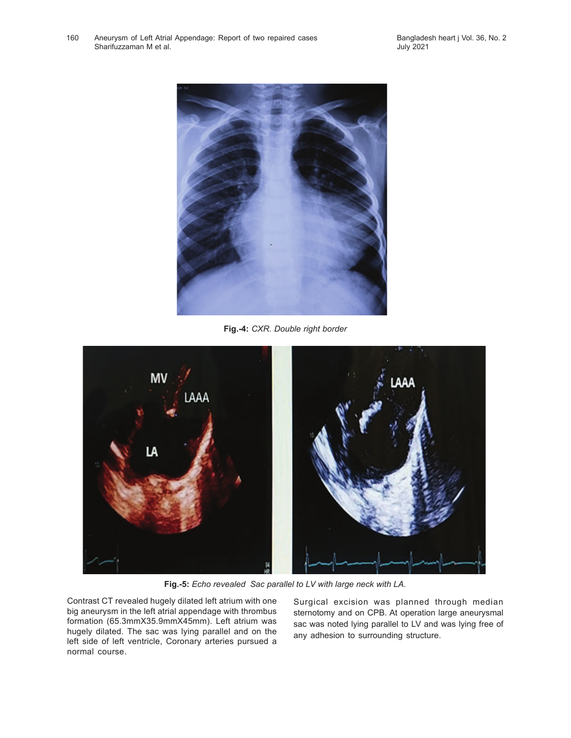

**Fig.-4:** *CXR. Double right border*



**Fig.-5:** *Echo revealed Sac parallel to LV with large neck with LA.*

Contrast CT revealed hugely dilated left atrium with one big aneurysm in the left atrial appendage with thrombus formation (65.3mmX35.9mmX45mm). Left atrium was hugely dilated. The sac was lying parallel and on the left side of left ventricle, Coronary arteries pursued a normal course.

Surgical excision was planned through median sternotomy and on CPB. At operation large aneurysmal sac was noted lying parallel to LV and was lying free of any adhesion to surrounding structure.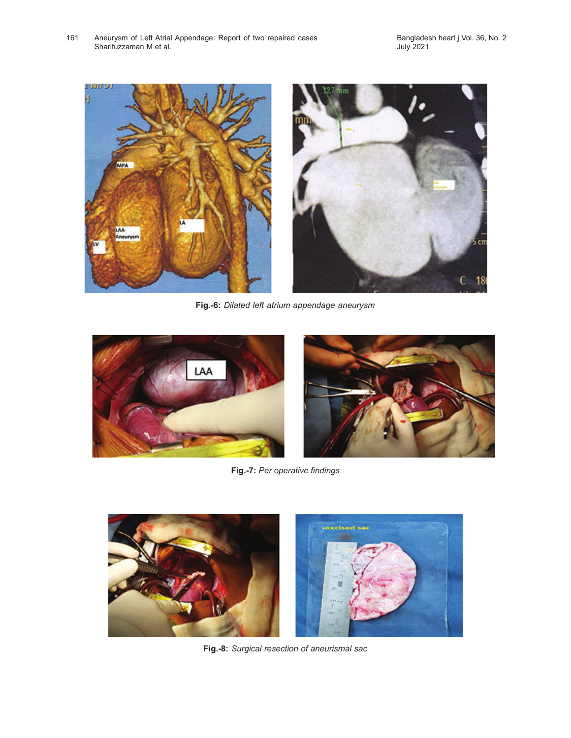

**Fig.-6:** *Dilated left atrium appendage aneurysm*





**Fig.-7:** *Per operative findings*



**Fig.-8:** *Surgical resection of aneurismal sac*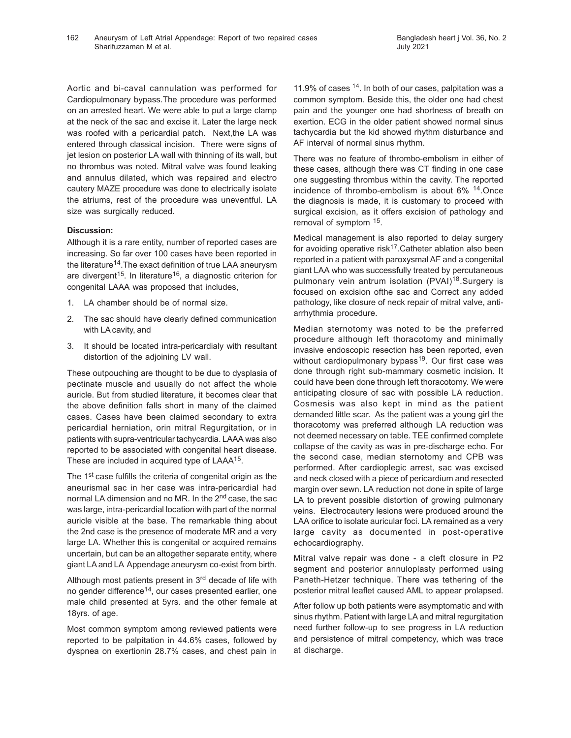Aortic and bi-caval cannulation was performed for Cardiopulmonary bypass.The procedure was performed on an arrested heart. We were able to put a large clamp at the neck of the sac and excise it. Later the large neck was roofed with a pericardial patch. Next,the LA was entered through classical incision. There were signs of jet lesion on posterior LA wall with thinning of its wall, but no thrombus was noted. Mitral valve was found leaking and annulus dilated, which was repaired and electro cautery MAZE procedure was done to electrically isolate the atriums, rest of the procedure was uneventful. LA size was surgically reduced.

# **Discussion:**

Although it is a rare entity, number of reported cases are increasing. So far over 100 cases have been reported in the literature<sup>14</sup>. The exact definition of true LAA aneurysm are divergent<sup>15</sup>. In literature<sup>16</sup>, a diagnostic criterion for congenital LAAA was proposed that includes,

- 1. LA chamber should be of normal size.
- 2. The sac should have clearly defined communication with LA cavity, and
- 3. It should be located intra-pericardialy with resultant distortion of the adjoining LV wall.

These outpouching are thought to be due to dysplasia of pectinate muscle and usually do not affect the whole auricle. But from studied literature, it becomes clear that the above definition falls short in many of the claimed cases. Cases have been claimed secondary to extra pericardial herniation, orin mitral Regurgitation, or in patients with supra-ventricular tachycardia. LAAA was also reported to be associated with congenital heart disease. These are included in acquired type of LAAA<sup>15</sup>.

The 1<sup>st</sup> case fulfills the criteria of congenital origin as the aneurismal sac in her case was intra-pericardial had normal LA dimension and no MR. In the 2<sup>nd</sup> case, the sac was large, intra-pericardial location with part of the normal auricle visible at the base. The remarkable thing about the 2nd case is the presence of moderate MR and a very large LA. Whether this is congenital or acquired remains uncertain, but can be an altogether separate entity, where giant LA and LA Appendage aneurysm co-exist from birth.

Although most patients present in 3rd decade of life with no gender difference<sup>14</sup>, our cases presented earlier, one male child presented at 5yrs. and the other female at 18yrs. of age.

Most common symptom among reviewed patients were reported to be palpitation in 44.6% cases, followed by dyspnea on exertionin 28.7% cases, and chest pain in 11.9% of cases 14. In both of our cases, palpitation was a common symptom. Beside this, the older one had chest pain and the younger one had shortness of breath on exertion. ECG in the older patient showed normal sinus tachycardia but the kid showed rhythm disturbance and AF interval of normal sinus rhythm.

There was no feature of thrombo-embolism in either of these cases, although there was CT finding in one case one suggesting thrombus within the cavity. The reported incidence of thrombo-embolism is about 6% 14.Once the diagnosis is made, it is customary to proceed with surgical excision, as it offers excision of pathology and removal of symptom <sup>15</sup>.

Medical management is also reported to delay surgery for avoiding operative risk $17$ . Catheter ablation also been reported in a patient with paroxysmal AF and a congenital giant LAA who was successfully treated by percutaneous pulmonary vein antrum isolation  $(PVAL)$ <sup>18</sup>. Surgery is focused on excision ofthe sac and Correct any added pathology, like closure of neck repair of mitral valve, antiarrhythmia procedure.

Median sternotomy was noted to be the preferred procedure although left thoracotomy and minimally invasive endoscopic resection has been reported, even without cardiopulmonary bypass<sup>19</sup>. Our first case was done through right sub-mammary cosmetic incision. It could have been done through left thoracotomy. We were anticipating closure of sac with possible LA reduction. Cosmesis was also kept in mind as the patient demanded little scar. As the patient was a young girl the thoracotomy was preferred although LA reduction was not deemed necessary on table. TEE confirmed complete collapse of the cavity as was in pre-discharge echo. For the second case, median sternotomy and CPB was performed. After cardioplegic arrest, sac was excised and neck closed with a piece of pericardium and resected margin over sewn. LA reduction not done in spite of large LA to prevent possible distortion of growing pulmonary veins. Electrocautery lesions were produced around the LAA orifice to isolate auricular foci. LA remained as a very large cavity as documented in post-operative echocardiography.

Mitral valve repair was done - a cleft closure in P2 segment and posterior annuloplasty performed using Paneth-Hetzer technique. There was tethering of the posterior mitral leaflet caused AML to appear prolapsed.

After follow up both patients were asymptomatic and with sinus rhythm. Patient with large LA and mitral regurgitation need further follow-up to see progress in LA reduction and persistence of mitral competency, which was trace at discharge.